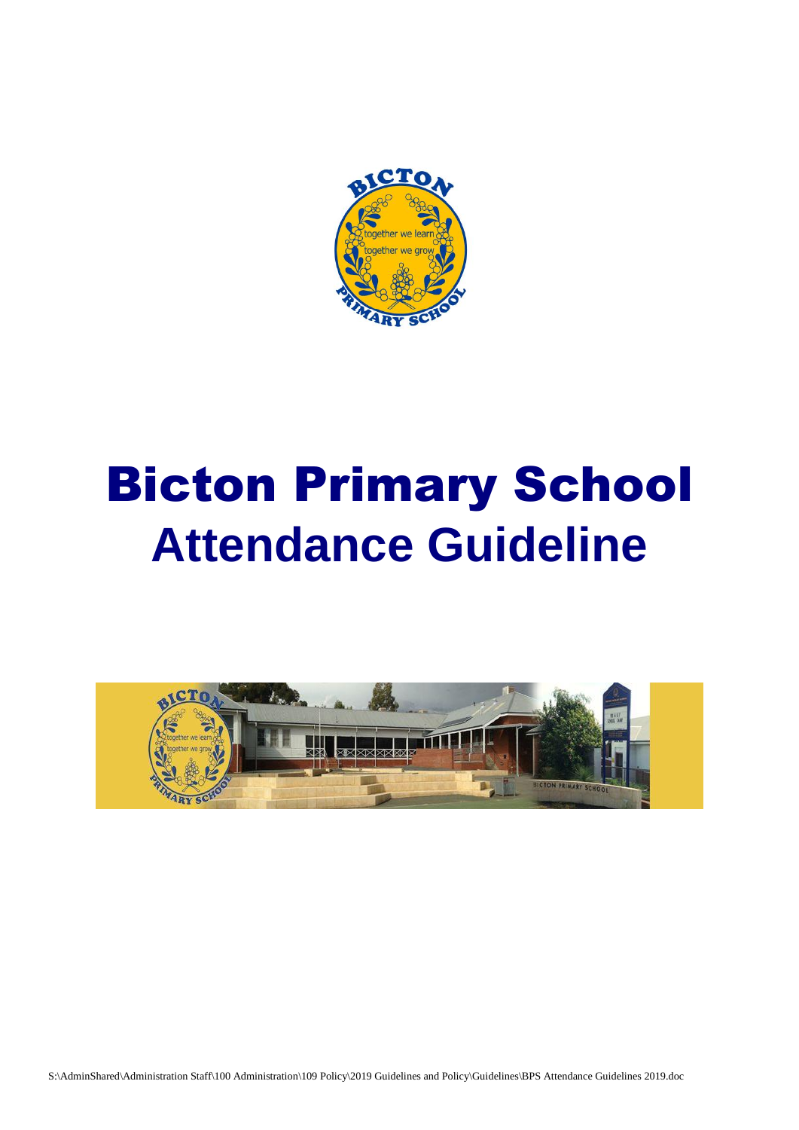

# Bicton Primary School **Attendance Guideline**

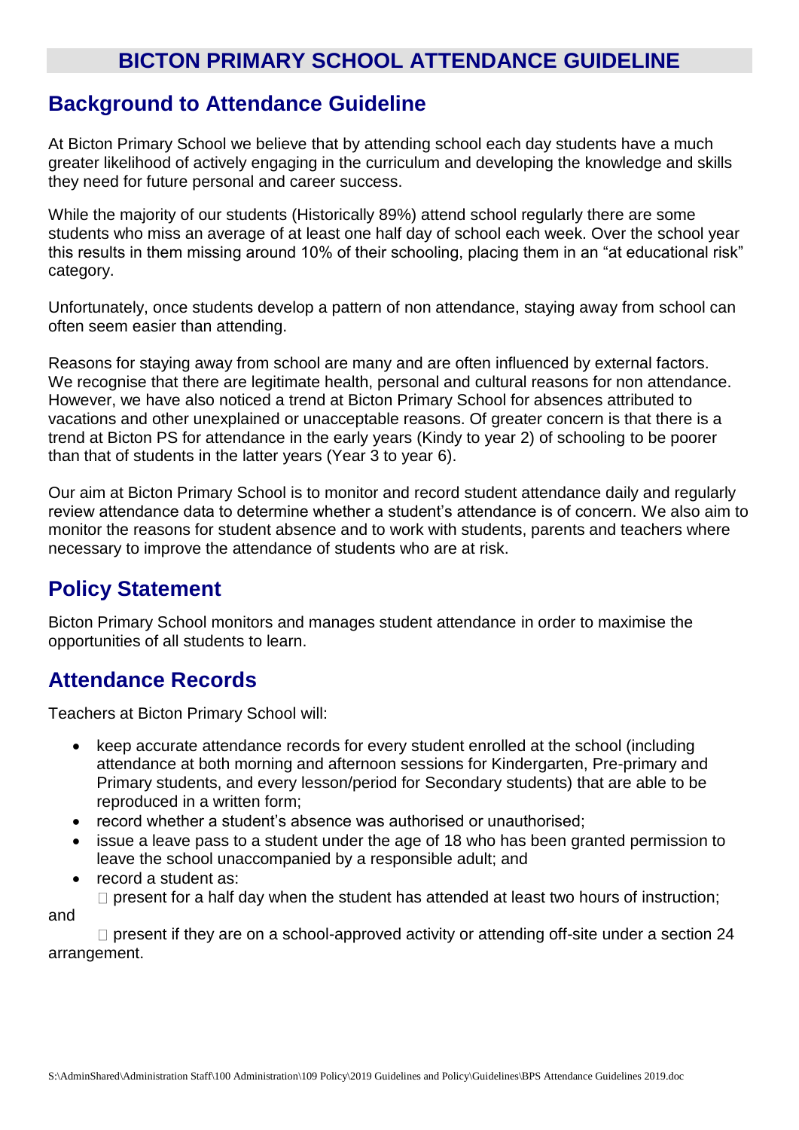## **BICTON PRIMARY SCHOOL ATTENDANCE GUIDELINE**

### **Background to Attendance Guideline**

At Bicton Primary School we believe that by attending school each day students have a much greater likelihood of actively engaging in the curriculum and developing the knowledge and skills they need for future personal and career success.

While the majority of our students (Historically 89%) attend school regularly there are some students who miss an average of at least one half day of school each week. Over the school year this results in them missing around 10% of their schooling, placing them in an "at educational risk" category.

Unfortunately, once students develop a pattern of non attendance, staying away from school can often seem easier than attending.

Reasons for staying away from school are many and are often influenced by external factors. We recognise that there are legitimate health, personal and cultural reasons for non attendance. However, we have also noticed a trend at Bicton Primary School for absences attributed to vacations and other unexplained or unacceptable reasons. Of greater concern is that there is a trend at Bicton PS for attendance in the early years (Kindy to year 2) of schooling to be poorer than that of students in the latter years (Year 3 to year 6).

Our aim at Bicton Primary School is to monitor and record student attendance daily and regularly review attendance data to determine whether a student's attendance is of concern. We also aim to monitor the reasons for student absence and to work with students, parents and teachers where necessary to improve the attendance of students who are at risk.

## **Policy Statement**

Bicton Primary School monitors and manages student attendance in order to maximise the opportunities of all students to learn.

#### **Attendance Records**

Teachers at Bicton Primary School will:

- keep accurate attendance records for every student enrolled at the school (including attendance at both morning and afternoon sessions for Kindergarten, Pre-primary and Primary students, and every lesson/period for Secondary students) that are able to be reproduced in a written form;
- record whether a student's absence was authorised or unauthorised;
- issue a leave pass to a student under the age of 18 who has been granted permission to leave the school unaccompanied by a responsible adult; and
- record a student as:

 $\Box$  present for a half day when the student has attended at least two hours of instruction;

and

 $\Box$  present if they are on a school-approved activity or attending off-site under a section 24 arrangement.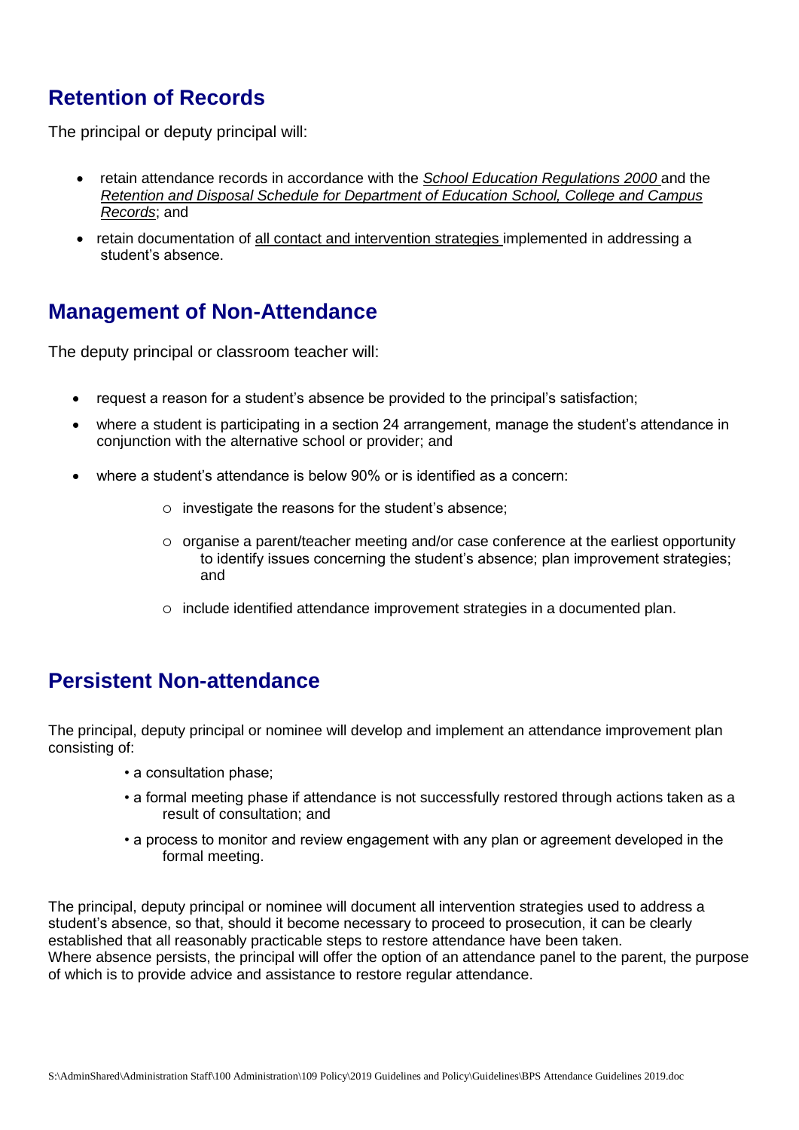# **Retention of Records**

The principal or deputy principal will:

- retain attendance records in accordance with the *School Education Regulations 2000* and the *Retention and Disposal Schedule for Department of Education School, College and Campus Records*; and
- retain documentation of all contact and intervention strategies implemented in addressing a student's absence.

## **Management of Non-Attendance**

The deputy principal or classroom teacher will:

- request a reason for a student's absence be provided to the principal's satisfaction;
- where a student is participating in a section 24 arrangement, manage the student's attendance in conjunction with the alternative school or provider; and
- where a student's attendance is below 90% or is identified as a concern:
	- investigate the reasons for the student's absence;
	- $\circ$  organise a parent/teacher meeting and/or case conference at the earliest opportunity to identify issues concerning the student's absence; plan improvement strategies; and
	- include identified attendance improvement strategies in a documented plan.

## **Persistent Non-attendance**

The principal, deputy principal or nominee will develop and implement an attendance improvement plan consisting of:

- a consultation phase;
- a formal meeting phase if attendance is not successfully restored through actions taken as a result of consultation; and
- a process to monitor and review engagement with any plan or agreement developed in the formal meeting.

The principal, deputy principal or nominee will document all intervention strategies used to address a student's absence, so that, should it become necessary to proceed to prosecution, it can be clearly established that all reasonably practicable steps to restore attendance have been taken. Where absence persists, the principal will offer the option of an attendance panel to the parent, the purpose of which is to provide advice and assistance to restore regular attendance.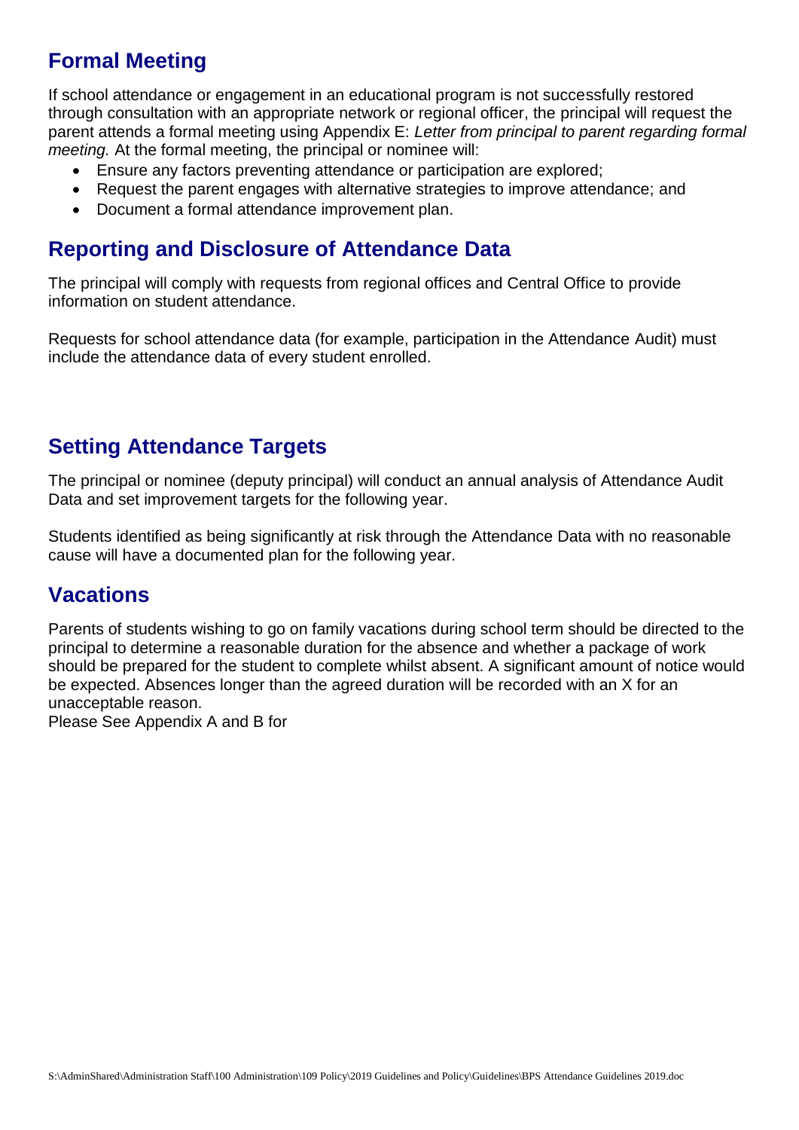# **Formal Meeting**

If school attendance or engagement in an educational program is not successfully restored through consultation with an appropriate network or regional officer, the principal will request the parent attends a formal meeting using Appendix E: *Letter from principal to parent regarding formal meeting.* At the formal meeting, the principal or nominee will:

- Ensure any factors preventing attendance or participation are explored;
- Request the parent engages with alternative strategies to improve attendance; and
- Document a formal attendance improvement plan.

## **Reporting and Disclosure of Attendance Data**

The principal will comply with requests from regional offices and Central Office to provide information on student attendance.

Requests for school attendance data (for example, participation in the Attendance Audit) must include the attendance data of every student enrolled.

# **Setting Attendance Targets**

The principal or nominee (deputy principal) will conduct an annual analysis of Attendance Audit Data and set improvement targets for the following year.

Students identified as being significantly at risk through the Attendance Data with no reasonable cause will have a documented plan for the following year.

## **Vacations**

Parents of students wishing to go on family vacations during school term should be directed to the principal to determine a reasonable duration for the absence and whether a package of work should be prepared for the student to complete whilst absent. A significant amount of notice would be expected. Absences longer than the agreed duration will be recorded with an X for an unacceptable reason.

Please See Appendix A and B for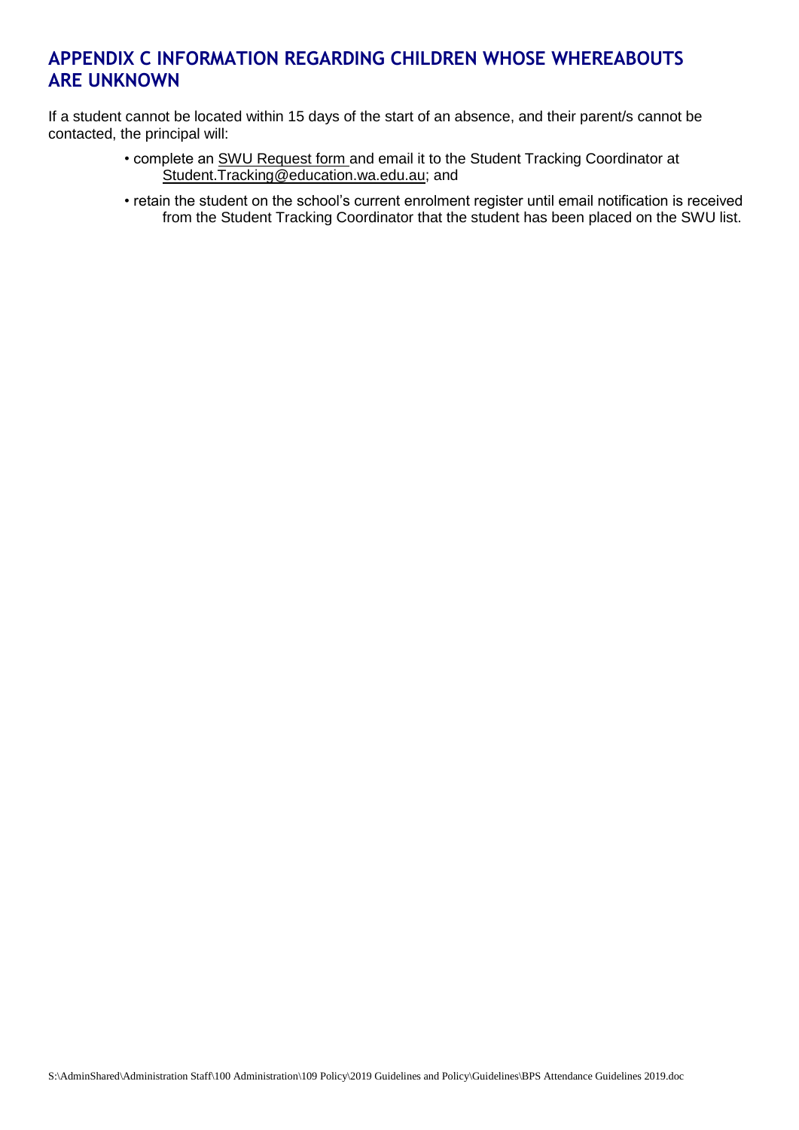#### **APPENDIX C INFORMATION REGARDING CHILDREN WHOSE WHEREABOUTS ARE UNKNOWN**

If a student cannot be located within 15 days of the start of an absence, and their parent/s cannot be contacted, the principal will:

- complete an SWU Request form and email it to the Student Tracking Coordinator at Student.Tracking@education.wa.edu.au; and
- retain the student on the school's current enrolment register until email notification is received from the Student Tracking Coordinator that the student has been placed on the SWU list.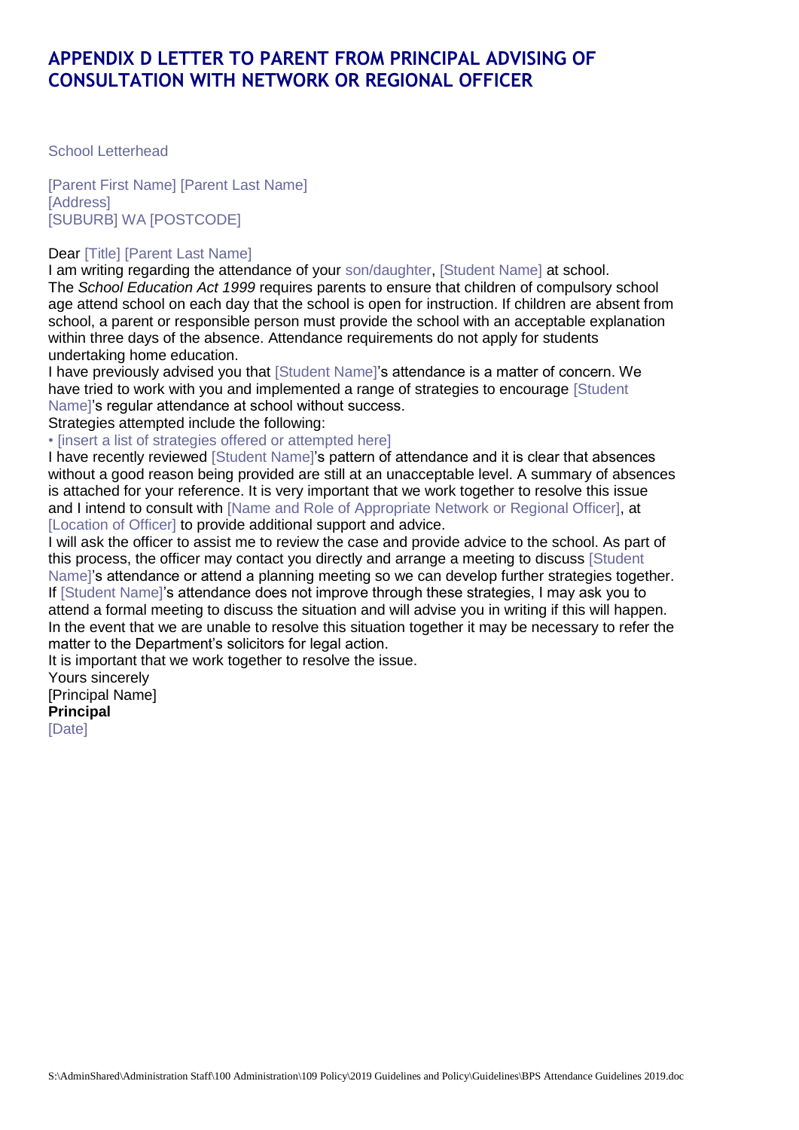#### **APPENDIX D LETTER TO PARENT FROM PRINCIPAL ADVISING OF CONSULTATION WITH NETWORK OR REGIONAL OFFICER**

School Letterhead

[Parent First Name] [Parent Last Name] **[Address]** [SUBURB] WA [POSTCODE]

#### Dear [Title] [Parent Last Name]

I am writing regarding the attendance of your son/daughter, [Student Name] at school. The *School Education Act 1999* requires parents to ensure that children of compulsory school age attend school on each day that the school is open for instruction. If children are absent from school, a parent or responsible person must provide the school with an acceptable explanation within three days of the absence. Attendance requirements do not apply for students undertaking home education.

I have previously advised you that [Student Name]'s attendance is a matter of concern. We have tried to work with you and implemented a range of strategies to encourage [Student Name]'s regular attendance at school without success.

Strategies attempted include the following:

• [insert a list of strategies offered or attempted here]

I have recently reviewed [Student Name]'s pattern of attendance and it is clear that absences without a good reason being provided are still at an unacceptable level. A summary of absences is attached for your reference. It is very important that we work together to resolve this issue and I intend to consult with [Name and Role of Appropriate Network or Regional Officer], at [Location of Officer] to provide additional support and advice.

I will ask the officer to assist me to review the case and provide advice to the school. As part of this process, the officer may contact you directly and arrange a meeting to discuss [Student Name]'s attendance or attend a planning meeting so we can develop further strategies together. If [Student Name]'s attendance does not improve through these strategies, I may ask you to attend a formal meeting to discuss the situation and will advise you in writing if this will happen. In the event that we are unable to resolve this situation together it may be necessary to refer the matter to the Department's solicitors for legal action.

It is important that we work together to resolve the issue.

Yours sincerely [Principal Name] **Principal**

[Date]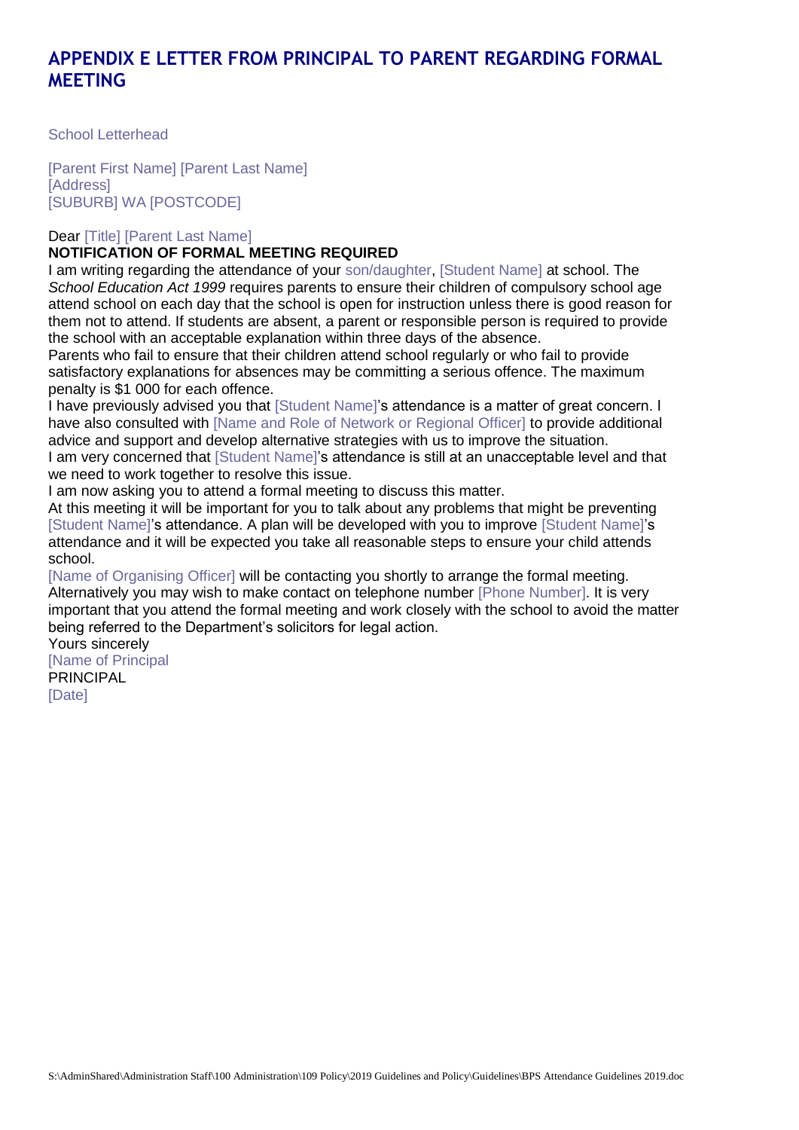#### **APPENDIX E LETTER FROM PRINCIPAL TO PARENT REGARDING FORMAL MEETING**

School Letterhead

[Parent First Name] [Parent Last Name] **[Address]** [SUBURB] WA [POSTCODE]

Dear [Title] [Parent Last Name]

#### **NOTIFICATION OF FORMAL MEETING REQUIRED**

I am writing regarding the attendance of your son/daughter, [Student Name] at school. The *School Education Act 1999* requires parents to ensure their children of compulsory school age attend school on each day that the school is open for instruction unless there is good reason for them not to attend. If students are absent, a parent or responsible person is required to provide the school with an acceptable explanation within three days of the absence.

Parents who fail to ensure that their children attend school regularly or who fail to provide satisfactory explanations for absences may be committing a serious offence. The maximum penalty is \$1 000 for each offence.

I have previously advised you that [Student Name]'s attendance is a matter of great concern. I have also consulted with [Name and Role of Network or Regional Officer] to provide additional advice and support and develop alternative strategies with us to improve the situation. I am very concerned that [Student Name]'s attendance is still at an unacceptable level and that

we need to work together to resolve this issue.

I am now asking you to attend a formal meeting to discuss this matter. At this meeting it will be important for you to talk about any problems that might be preventing [Student Name]'s attendance. A plan will be developed with you to improve [Student Name]'s

attendance and it will be expected you take all reasonable steps to ensure your child attends school.

[Name of Organising Officer] will be contacting you shortly to arrange the formal meeting. Alternatively you may wish to make contact on telephone number [Phone Number]. It is very important that you attend the formal meeting and work closely with the school to avoid the matter being referred to the Department's solicitors for legal action.

Yours sincerely [Name of Principal PRINCIPAL [Date]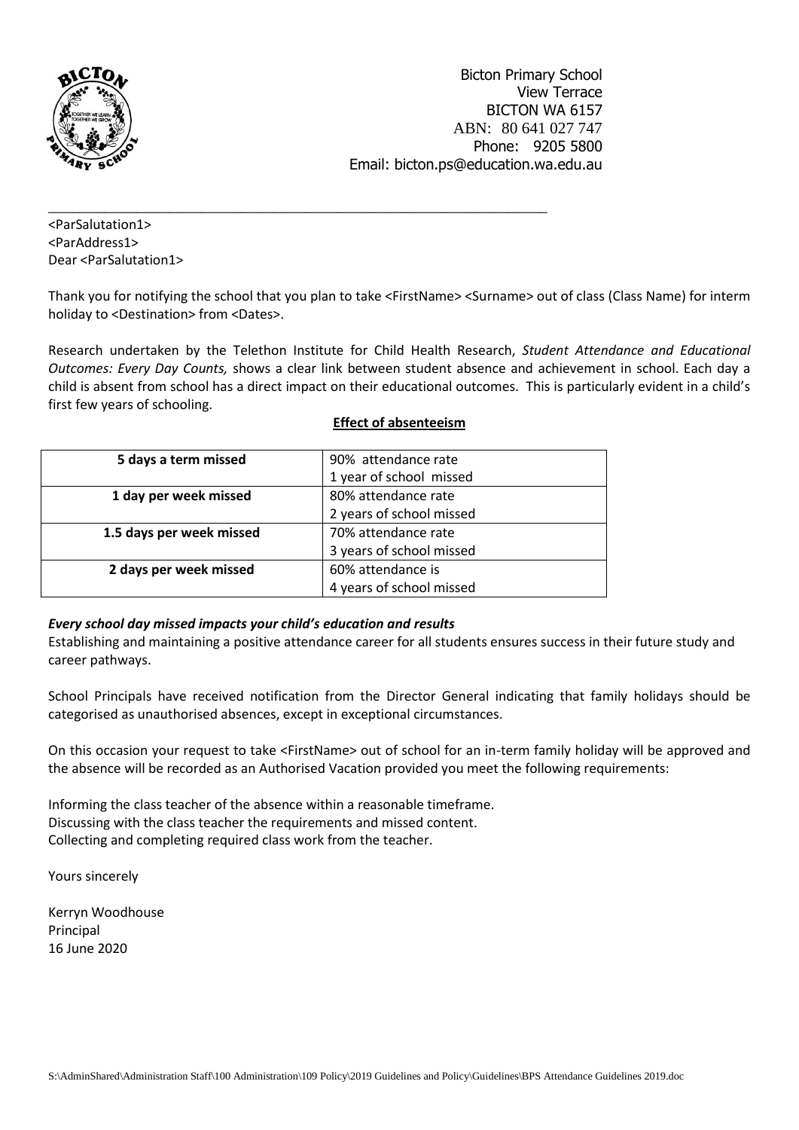

<ParSalutation1> <ParAddress1> Dear <ParSalutation1>

Thank you for notifying the school that you plan to take <FirstName> <Surname> out of class (Class Name) for interm holiday to <Destination> from <Dates>.

Research undertaken by the Telethon Institute for Child Health Research, *Student Attendance and Educational Outcomes: Every Day Counts,* shows a clear link between student absence and achievement in school. Each day a child is absent from school has a direct impact on their educational outcomes. This is particularly evident in a child's first few years of schooling.

| 5 days a term missed     | 90% attendance rate      |
|--------------------------|--------------------------|
|                          | 1 year of school missed  |
| 1 day per week missed    | 80% attendance rate      |
|                          | 2 years of school missed |
| 1.5 days per week missed | 70% attendance rate      |
|                          | 3 years of school missed |
| 2 days per week missed   | 60% attendance is        |
|                          | 4 years of school missed |

\_\_\_\_\_\_\_\_\_\_\_\_\_\_\_\_\_\_\_\_\_\_\_\_\_\_\_\_\_\_\_\_\_\_\_\_\_\_\_\_\_\_\_\_\_\_\_\_\_\_\_\_\_\_\_\_\_\_\_\_\_\_

#### **Effect of absenteeism**

#### *Every school day missed impacts your child's education and results*

Establishing and maintaining a positive attendance career for all students ensures success in their future study and career pathways.

School Principals have received notification from the Director General indicating that family holidays should be categorised as unauthorised absences, except in exceptional circumstances.

On this occasion your request to take <FirstName> out of school for an in-term family holiday will be approved and the absence will be recorded as an Authorised Vacation provided you meet the following requirements:

Informing the class teacher of the absence within a reasonable timeframe. Discussing with the class teacher the requirements and missed content. Collecting and completing required class work from the teacher.

Yours sincerely

Kerryn Woodhouse Principal 16 June 2020